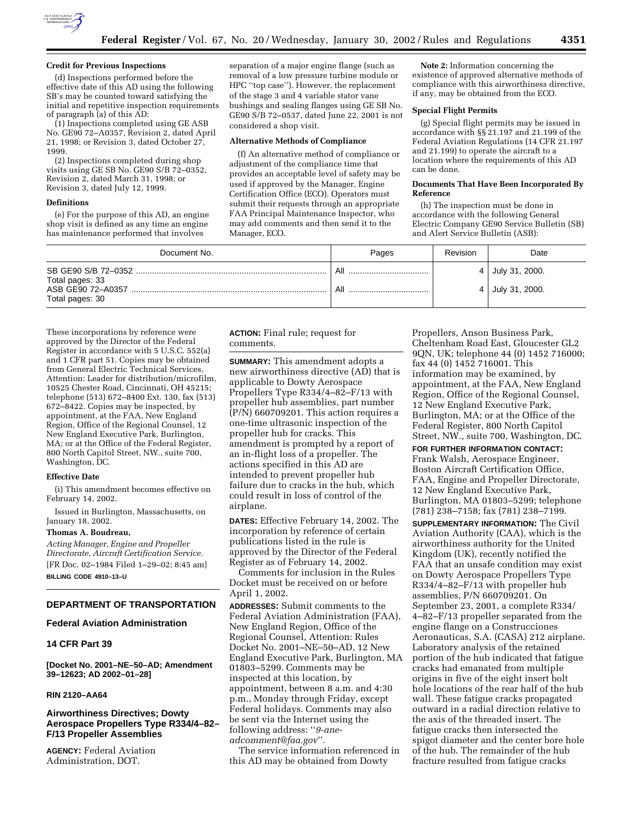

### **Credit for Previous Inspections**

(d) Inspections performed before the effective date of this AD using the following SB's may be counted toward satisfying the initial and repetitive inspection requirements of paragraph (a) of this AD:

(1) Inspections completed using GE ASB No. GE90 72–A0357, Revision 2, dated April 21, 1998; or Revision 3, dated October 27, 1999.

(2) Inspections completed during shop visits using GE SB No. GE90 S/B 72–0352, Revision 2, dated March 31, 1998; or Revision 3, dated July 12, 1999.

#### **Definitions**

(e) For the purpose of this AD, an engine shop visit is defined as any time an engine has maintenance performed that involves

separation of a major engine flange (such as removal of a low pressure turbine module or HPC ''top case''). However, the replacement of the stage 3 and 4 variable stator vane bushings and sealing flanges using GE SB No. GE90 S/B 72–0537, dated June 22, 2001 is not considered a shop visit.

## **Alternative Methods of Compliance**

(f) An alternative method of compliance or adjustment of the compliance time that provides an acceptable level of safety may be used if approved by the Manager, Engine Certification Office (ECO). Operators must submit their requests through an appropriate FAA Principal Maintenance Inspector, who may add comments and then send it to the Manager, ECO.

**Note 2:** Information concerning the existence of approved alternative methods of compliance with this airworthiness directive, if any, may be obtained from the ECO.

#### **Special Flight Permits**

(g) Special flight permits may be issued in accordance with §§ 21.197 and 21.199 of the Federal Aviation Regulations (14 CFR 21.197 and 21.199) to operate the aircraft to a location where the requirements of this AD can be done.

#### **Documents That Have Been Incorporated By Reference**

(h) The inspection must be done in accordance with the following General Electric Company GE90 Service Bulletin (SB) and Alert Service Bulletin (ASB):

| Document No.                                            | Pages      | Revision | Date                             |
|---------------------------------------------------------|------------|----------|----------------------------------|
| Total pages: 33<br>ASB GE90 72-A0357<br>Total pages: 30 | All<br>All | 4        | July 31, 2000.<br>July 31, 2000. |

These incorporations by reference were approved by the Director of the Federal Register in accordance with 5 U.S.C. 552(a) and 1 CFR part 51. Copies may be obtained from General Electric Technical Services, Attention: Leader for distribution/microfilm, 10525 Chester Road, Cincinnati, OH 45215; telephone (513) 672–8400 Ext. 130, fax (513) 672–8422. Copies may be inspected, by appointment, at the FAA, New England Region, Office of the Regional Counsel, 12 New England Executive Park, Burlington, MA; or at the Office of the Federal Register, 800 North Capitol Street, NW., suite 700, Washington, DC.

#### **Effective Date**

(i) This amendment becomes effective on February 14, 2002.

Issued in Burlington, Massachusetts, on January 18, 2002.

#### **Thomas A. Boudreau,**

*Acting Manager, Engine and Propeller Directorate, Aircraft Certification Service.* [FR Doc. 02–1984 Filed 1–29–02; 8:45 am] **BILLING CODE 4910–13–U**

## **DEPARTMENT OF TRANSPORTATION**

## **Federal Aviation Administration**

# **14 CFR Part 39**

**[Docket No. 2001–NE–50–AD; Amendment 39–12623; AD 2002–01–28]**

## **RIN 2120–AA64**

# **Airworthiness Directives; Dowty Aerospace Propellers Type R334/4–82– F/13 Propeller Assemblies**

**AGENCY:** Federal Aviation Administration, DOT.

**ACTION:** Final rule; request for comments.

**SUMMARY:** This amendment adopts a new airworthiness directive (AD) that is applicable to Dowty Aerospace Propellers Type R334/4–82–F/13 with propeller hub assemblies, part number (P/N) 660709201. This action requires a one-time ultrasonic inspection of the propeller hub for cracks. This amendment is prompted by a report of an in-flight loss of a propeller. The actions specified in this AD are intended to prevent propeller hub failure due to cracks in the hub, which could result in loss of control of the airplane.

**DATES:** Effective February 14, 2002. The incorporation by reference of certain publications listed in the rule is approved by the Director of the Federal Register as of February 14, 2002.

Comments for inclusion in the Rules Docket must be received on or before April 1, 2002.

**ADDRESSES:** Submit comments to the Federal Aviation Administration (FAA), New England Region, Office of the Regional Counsel, Attention: Rules Docket No. 2001–NE–50–AD, 12 New England Executive Park, Burlington, MA 01803–5299. Comments may be inspected at this location, by appointment, between 8 a.m. and 4:30 p.m., Monday through Friday, except Federal holidays. Comments may also be sent via the Internet using the following address: ''*9-aneadcomment@faa.gov*''.

The service information referenced in this AD may be obtained from Dowty

Propellers, Anson Business Park, Cheltenham Road East, Gloucester GL2 9QN, UK; telephone 44 (0) 1452 716000; fax 44 (0) 1452 716001. This information may be examined, by appointment, at the FAA, New England Region, Office of the Regional Counsel, 12 New England Executive Park, Burlington, MA; or at the Office of the Federal Register, 800 North Capitol Street, NW., suite 700, Washington, DC.

**FOR FURTHER INFORMATION CONTACT:** Frank Walsh, Aerospace Engineer, Boston Aircraft Certification Office, FAA, Engine and Propeller Directorate, 12 New England Executive Park, Burlington, MA 01803–5299; telephone (781) 238–7158; fax (781) 238–7199.

**SUPPLEMENTARY INFORMATION:** The Civil Aviation Authority (CAA), which is the airworthiness authority for the United Kingdom (UK), recently notified the FAA that an unsafe condition may exist on Dowty Aerospace Propellers Type R334/4–82–F/13 with propeller hub assemblies, P/N 660709201. On September 23, 2001, a complete R334/ 4–82–F/13 propeller separated from the engine flange on a Construcciones Aeronauticas, S.A. (CASA) 212 airplane. Laboratory analysis of the retained portion of the hub indicated that fatigue cracks had emanated from multiple origins in five of the eight insert bolt hole locations of the rear half of the hub wall. These fatigue cracks propagated outward in a radial direction relative to the axis of the threaded insert. The fatigue cracks then intersected the spigot diameter and the center bore hole of the hub. The remainder of the hub fracture resulted from fatigue cracks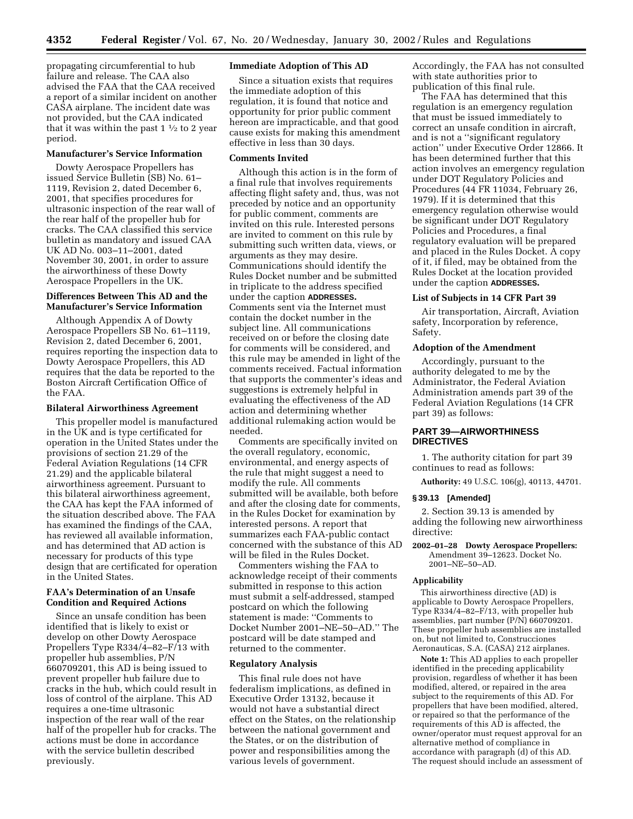propagating circumferential to hub failure and release. The CAA also advised the FAA that the CAA received a report of a similar incident on another CASA airplane. The incident date was not provided, but the CAA indicated that it was within the past  $1\frac{1}{2}$  to 2 year period.

## **Manufacturer's Service Information**

Dowty Aerospace Propellers has issued Service Bulletin (SB) No. 61– 1119, Revision 2, dated December 6, 2001, that specifies procedures for ultrasonic inspection of the rear wall of the rear half of the propeller hub for cracks. The CAA classified this service bulletin as mandatory and issued CAA UK AD No. 003–11–2001, dated November 30, 2001, in order to assure the airworthiness of these Dowty Aerospace Propellers in the UK.

# **Differences Between This AD and the Manufacturer's Service Information**

Although Appendix A of Dowty Aerospace Propellers SB No. 61–1119, Revision 2, dated December 6, 2001, requires reporting the inspection data to Dowty Aerospace Propellers, this AD requires that the data be reported to the Boston Aircraft Certification Office of the FAA.

## **Bilateral Airworthiness Agreement**

This propeller model is manufactured in the UK and is type certificated for operation in the United States under the provisions of section 21.29 of the Federal Aviation Regulations (14 CFR 21.29) and the applicable bilateral airworthiness agreement. Pursuant to this bilateral airworthiness agreement, the CAA has kept the FAA informed of the situation described above. The FAA has examined the findings of the CAA, has reviewed all available information, and has determined that AD action is necessary for products of this type design that are certificated for operation in the United States.

## **FAA's Determination of an Unsafe Condition and Required Actions**

Since an unsafe condition has been identified that is likely to exist or develop on other Dowty Aerospace Propellers Type R334/4–82–F/13 with propeller hub assemblies, P/N 660709201, this AD is being issued to prevent propeller hub failure due to cracks in the hub, which could result in loss of control of the airplane. This AD requires a one-time ultrasonic inspection of the rear wall of the rear half of the propeller hub for cracks. The actions must be done in accordance with the service bulletin described previously.

## **Immediate Adoption of This AD**

Since a situation exists that requires the immediate adoption of this regulation, it is found that notice and opportunity for prior public comment hereon are impracticable, and that good cause exists for making this amendment effective in less than 30 days.

## **Comments Invited**

Although this action is in the form of a final rule that involves requirements affecting flight safety and, thus, was not preceded by notice and an opportunity for public comment, comments are invited on this rule. Interested persons are invited to comment on this rule by submitting such written data, views, or arguments as they may desire. Communications should identify the Rules Docket number and be submitted in triplicate to the address specified under the caption **ADDRESSES.** Comments sent via the Internet must contain the docket number in the subject line. All communications received on or before the closing date for comments will be considered, and this rule may be amended in light of the comments received. Factual information that supports the commenter's ideas and suggestions is extremely helpful in evaluating the effectiveness of the AD action and determining whether additional rulemaking action would be needed.

Comments are specifically invited on the overall regulatory, economic, environmental, and energy aspects of the rule that might suggest a need to modify the rule. All comments submitted will be available, both before and after the closing date for comments, in the Rules Docket for examination by interested persons. A report that summarizes each FAA-public contact concerned with the substance of this AD will be filed in the Rules Docket.

Commenters wishing the FAA to acknowledge receipt of their comments submitted in response to this action must submit a self-addressed, stamped postcard on which the following statement is made: ''Comments to Docket Number 2001–NE–50–AD.'' The postcard will be date stamped and returned to the commenter.

# **Regulatory Analysis**

This final rule does not have federalism implications, as defined in Executive Order 13132, because it would not have a substantial direct effect on the States, on the relationship between the national government and the States, or on the distribution of power and responsibilities among the various levels of government.

Accordingly, the FAA has not consulted with state authorities prior to publication of this final rule.

The FAA has determined that this regulation is an emergency regulation that must be issued immediately to correct an unsafe condition in aircraft, and is not a ''significant regulatory action'' under Executive Order 12866. It has been determined further that this action involves an emergency regulation under DOT Regulatory Policies and Procedures (44 FR 11034, February 26, 1979). If it is determined that this emergency regulation otherwise would be significant under DOT Regulatory Policies and Procedures, a final regulatory evaluation will be prepared and placed in the Rules Docket. A copy of it, if filed, may be obtained from the Rules Docket at the location provided under the caption **ADDRESSES.**

## **List of Subjects in 14 CFR Part 39**

Air transportation, Aircraft, Aviation safety, Incorporation by reference, Safety.

## **Adoption of the Amendment**

Accordingly, pursuant to the authority delegated to me by the Administrator, the Federal Aviation Administration amends part 39 of the Federal Aviation Regulations (14 CFR part 39) as follows:

# **PART 39—AIRWORTHINESS DIRECTIVES**

1. The authority citation for part 39 continues to read as follows:

**Authority:** 49 U.S.C. 106(g), 40113, 44701.

#### **§ 39.13 [Amended]**

2. Section 39.13 is amended by adding the following new airworthiness directive:

**2002–01–28 Dowty Aerospace Propellers:** Amendment 39-12623. Docket No. 2001–NE–50–AD.

#### **Applicability**

This airworthiness directive (AD) is applicable to Dowty Aerospace Propellers, Type R334/4–82–F/13, with propeller hub assemblies, part number (P/N) 660709201. These propeller hub assemblies are installed on, but not limited to, Construcciones Aeronauticas, S.A. (CASA) 212 airplanes.

**Note 1:** This AD applies to each propeller identified in the preceding applicability provision, regardless of whether it has been modified, altered, or repaired in the area subject to the requirements of this AD. For propellers that have been modified, altered, or repaired so that the performance of the requirements of this AD is affected, the owner/operator must request approval for an alternative method of compliance in accordance with paragraph (d) of this AD. The request should include an assessment of